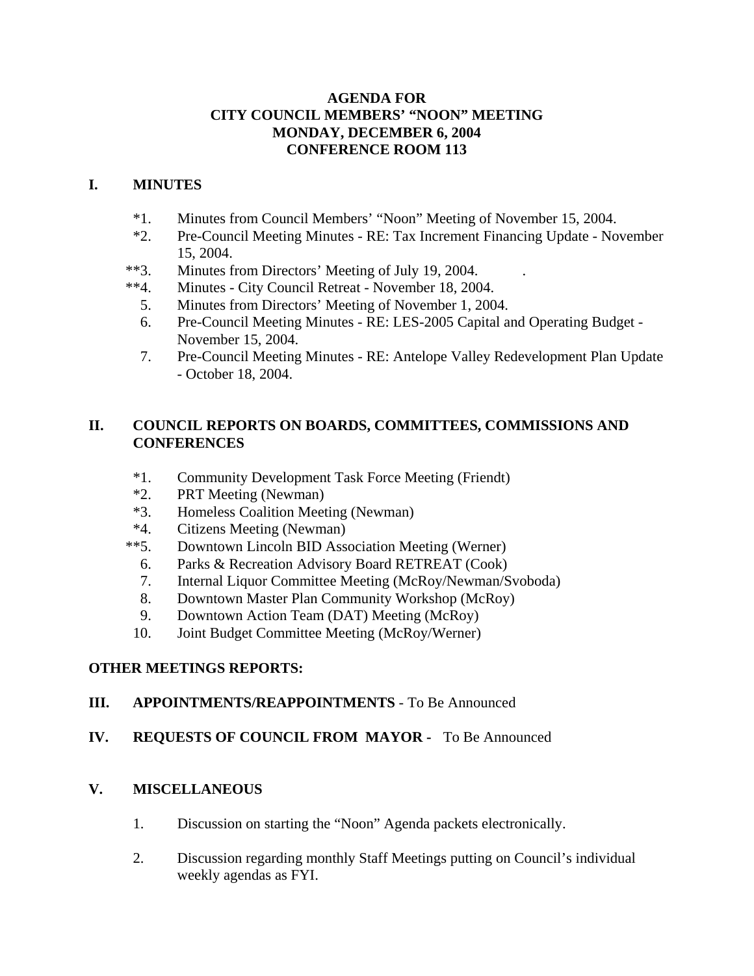### **AGENDA FOR CITY COUNCIL MEMBERS' "NOON" MEETING MONDAY, DECEMBER 6, 2004 CONFERENCE ROOM 113**

### **I. MINUTES**

- \*1. Minutes from Council Members' "Noon" Meeting of November 15, 2004.
- \*2. Pre-Council Meeting Minutes RE: Tax Increment Financing Update November 15, 2004.
- \*\*3. Minutes from Directors' Meeting of July 19, 2004.
- \*\*4. Minutes City Council Retreat November 18, 2004.
	- 5. Minutes from Directors' Meeting of November 1, 2004.
	- 6. Pre-Council Meeting Minutes RE: LES-2005 Capital and Operating Budget November 15, 2004.
	- 7. Pre-Council Meeting Minutes RE: Antelope Valley Redevelopment Plan Update - October 18, 2004.

### **II. COUNCIL REPORTS ON BOARDS, COMMITTEES, COMMISSIONS AND CONFERENCES**

- \*1. Community Development Task Force Meeting (Friendt)
- \*2. PRT Meeting (Newman)
- \*3. Homeless Coalition Meeting (Newman)
- \*4. Citizens Meeting (Newman)
- \*\*5. Downtown Lincoln BID Association Meeting (Werner)
	- 6. Parks & Recreation Advisory Board RETREAT (Cook)
	- 7. Internal Liquor Committee Meeting (McRoy/Newman/Svoboda)
	- 8. Downtown Master Plan Community Workshop (McRoy)
	- 9. Downtown Action Team (DAT) Meeting (McRoy)
- 10. Joint Budget Committee Meeting (McRoy/Werner)

# **OTHER MEETINGS REPORTS:**

# **III. APPOINTMENTS/REAPPOINTMENTS** - To Be Announced

# **IV. REQUESTS OF COUNCIL FROM MAYOR -** To Be Announced

### **V. MISCELLANEOUS**

- 1. Discussion on starting the "Noon" Agenda packets electronically.
- 2. Discussion regarding monthly Staff Meetings putting on Council's individual weekly agendas as FYI.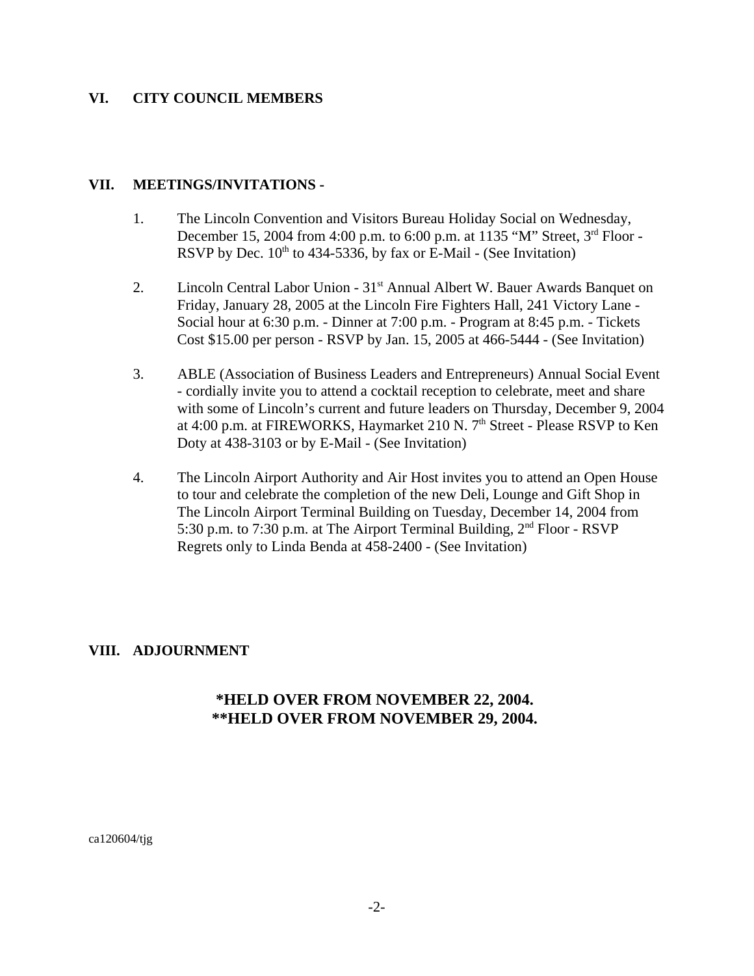### **VI. CITY COUNCIL MEMBERS**

#### **VII. MEETINGS/INVITATIONS -**

- 1. The Lincoln Convention and Visitors Bureau Holiday Social on Wednesday, December 15, 2004 from 4:00 p.m. to 6:00 p.m. at 1135 "M" Street, 3rd Floor - RSVP by Dec.  $10^{th}$  to 434-5336, by fax or E-Mail - (See Invitation)
- 2. Lincoln Central Labor Union 31<sup>st</sup> Annual Albert W. Bauer Awards Banquet on Friday, January 28, 2005 at the Lincoln Fire Fighters Hall, 241 Victory Lane - Social hour at 6:30 p.m. - Dinner at 7:00 p.m. - Program at 8:45 p.m. - Tickets Cost \$15.00 per person - RSVP by Jan. 15, 2005 at 466-5444 - (See Invitation)
- 3. ABLE (Association of Business Leaders and Entrepreneurs) Annual Social Event - cordially invite you to attend a cocktail reception to celebrate, meet and share with some of Lincoln's current and future leaders on Thursday, December 9, 2004 at 4:00 p.m. at FIREWORKS, Haymarket 210 N.  $7<sup>th</sup>$  Street - Please RSVP to Ken Doty at 438-3103 or by E-Mail - (See Invitation)
- 4. The Lincoln Airport Authority and Air Host invites you to attend an Open House to tour and celebrate the completion of the new Deli, Lounge and Gift Shop in The Lincoln Airport Terminal Building on Tuesday, December 14, 2004 from 5:30 p.m. to 7:30 p.m. at The Airport Terminal Building,  $2<sup>nd</sup> Floor - RSVP$ Regrets only to Linda Benda at 458-2400 - (See Invitation)

### **VIII. ADJOURNMENT**

### **\*HELD OVER FROM NOVEMBER 22, 2004. \*\*HELD OVER FROM NOVEMBER 29, 2004.**

ca120604/tjg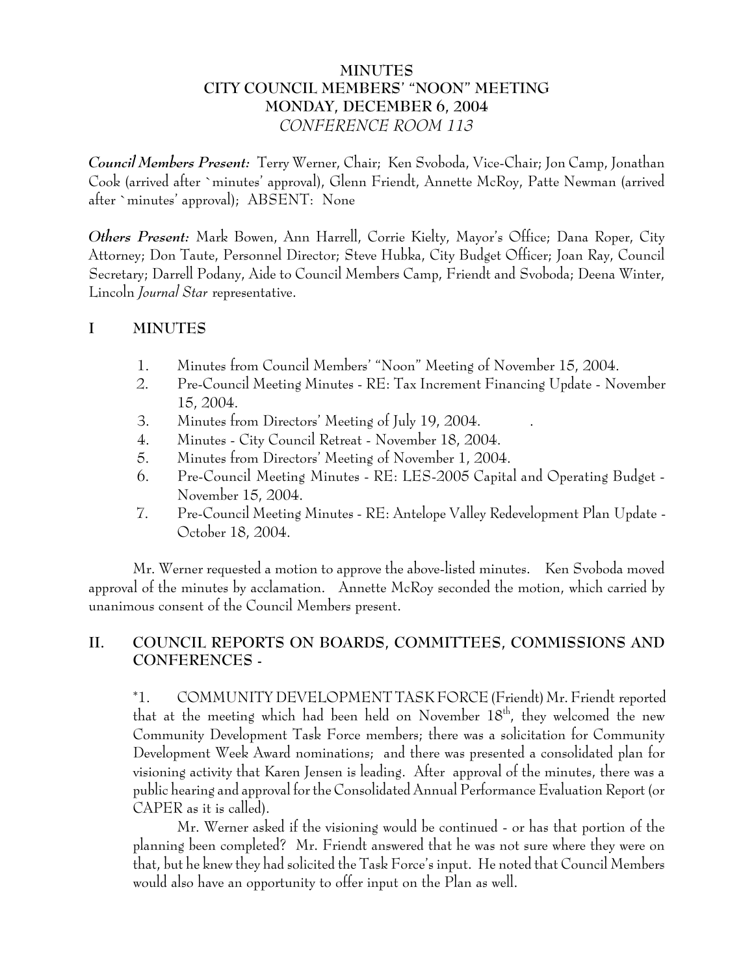# **MINUTES CITY COUNCIL MEMBERS' "NOON" MEETING MONDAY, DECEMBER 6, 2004** *CONFERENCE ROOM 113*

*Council Members Present:* Terry Werner, Chair; Ken Svoboda, Vice-Chair; Jon Camp, Jonathan Cook (arrived after `minutes' approval), Glenn Friendt, Annette McRoy, Patte Newman (arrived after `minutes' approval); ABSENT: None

*Others Present:* Mark Bowen, Ann Harrell, Corrie Kielty, Mayor's Office; Dana Roper, City Attorney; Don Taute, Personnel Director; Steve Hubka, City Budget Officer; Joan Ray, Council Secretary; Darrell Podany, Aide to Council Members Camp, Friendt and Svoboda; Deena Winter, Lincoln *Journal Star* representative.

# **I MINUTES**

- 1. Minutes from Council Members' "Noon" Meeting of November 15, 2004.
- 2. Pre-Council Meeting Minutes RE: Tax Increment Financing Update November 15, 2004.
- 3. Minutes from Directors' Meeting of July 19, 2004. .
- 4. Minutes City Council Retreat November 18, 2004.
- 5. Minutes from Directors' Meeting of November 1, 2004.
- 6. Pre-Council Meeting Minutes RE: LES-2005 Capital and Operating Budget November 15, 2004.
- 7. Pre-Council Meeting Minutes RE: Antelope Valley Redevelopment Plan Update October 18, 2004.

Mr. Werner requested a motion to approve the above-listed minutes. Ken Svoboda moved approval of the minutes by acclamation. Annette McRoy seconded the motion, which carried by unanimous consent of the Council Members present.

# **II. COUNCIL REPORTS ON BOARDS, COMMITTEES, COMMISSIONS AND CONFERENCES -**

\*1. COMMUNITY DEVELOPMENT TASK FORCE (Friendt) Mr. Friendt reported that at the meeting which had been held on November  $18<sup>th</sup>$ , they welcomed the new Community Development Task Force members; there was a solicitation for Community Development Week Award nominations; and there was presented a consolidated plan for visioning activity that Karen Jensen is leading. After approval of the minutes, there was a public hearing and approval for the Consolidated Annual Performance Evaluation Report (or CAPER as it is called).

Mr. Werner asked if the visioning would be continued - or has that portion of the planning been completed? Mr. Friendt answered that he was not sure where they were on that, but he knew they had solicited the Task Force's input. He noted that Council Members would also have an opportunity to offer input on the Plan as well.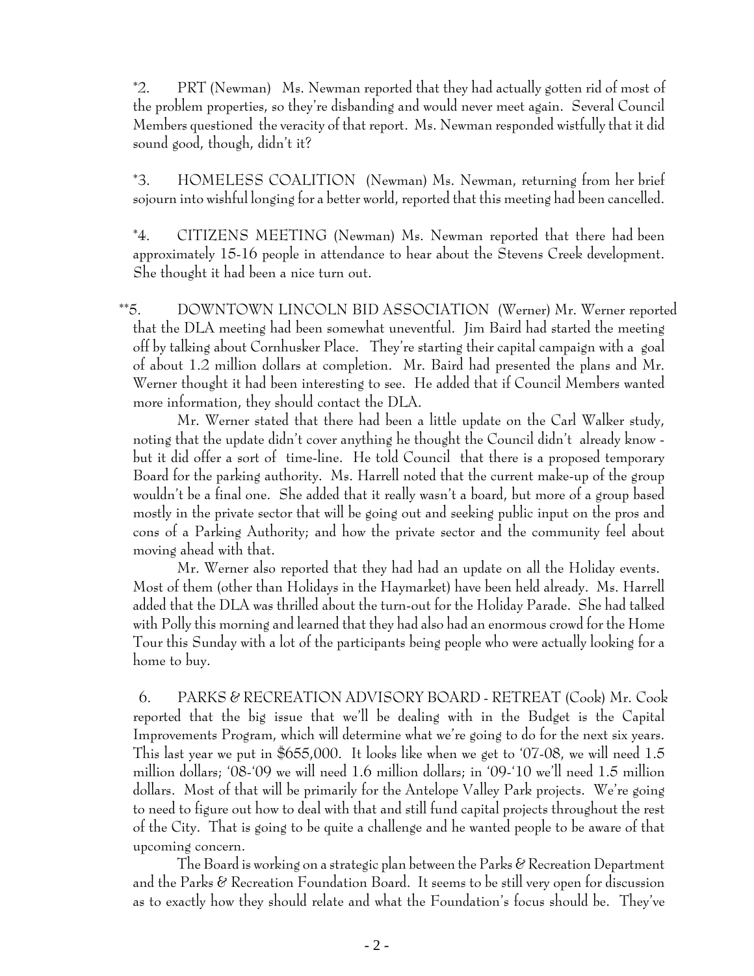\*2. PRT (Newman) Ms. Newman reported that they had actually gotten rid of most of the problem properties, so they're disbanding and would never meet again. Several Council Members questioned the veracity of that report. Ms. Newman responded wistfully that it did sound good, though, didn't it?

\*3. HOMELESS COALITION (Newman) Ms. Newman, returning from her brief sojourn into wishful longing for a better world, reported that this meeting had been cancelled.

\*4. CITIZENS MEETING (Newman) Ms. Newman reported that there had been approximately 15-16 people in attendance to hear about the Stevens Creek development. She thought it had been a nice turn out.

\*\*5. DOWNTOWN LINCOLN BID ASSOCIATION (Werner) Mr. Werner reported that the DLA meeting had been somewhat uneventful. Jim Baird had started the meeting off by talking about Cornhusker Place. They're starting their capital campaign with a goal of about 1.2 million dollars at completion. Mr. Baird had presented the plans and Mr. Werner thought it had been interesting to see. He added that if Council Members wanted more information, they should contact the DLA.

Mr. Werner stated that there had been a little update on the Carl Walker study, noting that the update didn't cover anything he thought the Council didn't already know but it did offer a sort of time-line. He told Council that there is a proposed temporary Board for the parking authority. Ms. Harrell noted that the current make-up of the group wouldn't be a final one. She added that it really wasn't a board, but more of a group based mostly in the private sector that will be going out and seeking public input on the pros and cons of a Parking Authority; and how the private sector and the community feel about moving ahead with that.

Mr. Werner also reported that they had had an update on all the Holiday events. Most of them (other than Holidays in the Haymarket) have been held already. Ms. Harrell added that the DLA was thrilled about the turn-out for the Holiday Parade. She had talked with Polly this morning and learned that they had also had an enormous crowd for the Home Tour this Sunday with a lot of the participants being people who were actually looking for a home to buy.

 6. PARKS & RECREATION ADVISORY BOARD - RETREAT (Cook) Mr. Cook reported that the big issue that we'll be dealing with in the Budget is the Capital Improvements Program, which will determine what we're going to do for the next six years. This last year we put in \$655,000. It looks like when we get to '07-08, we will need 1.5 million dollars; '08-'09 we will need 1.6 million dollars; in '09-'10 we'll need 1.5 million dollars. Most of that will be primarily for the Antelope Valley Park projects. We're going to need to figure out how to deal with that and still fund capital projects throughout the rest of the City. That is going to be quite a challenge and he wanted people to be aware of that upcoming concern.

The Board is working on a strategic plan between the Parks & Recreation Department and the Parks & Recreation Foundation Board. It seems to be still very open for discussion as to exactly how they should relate and what the Foundation's focus should be. They've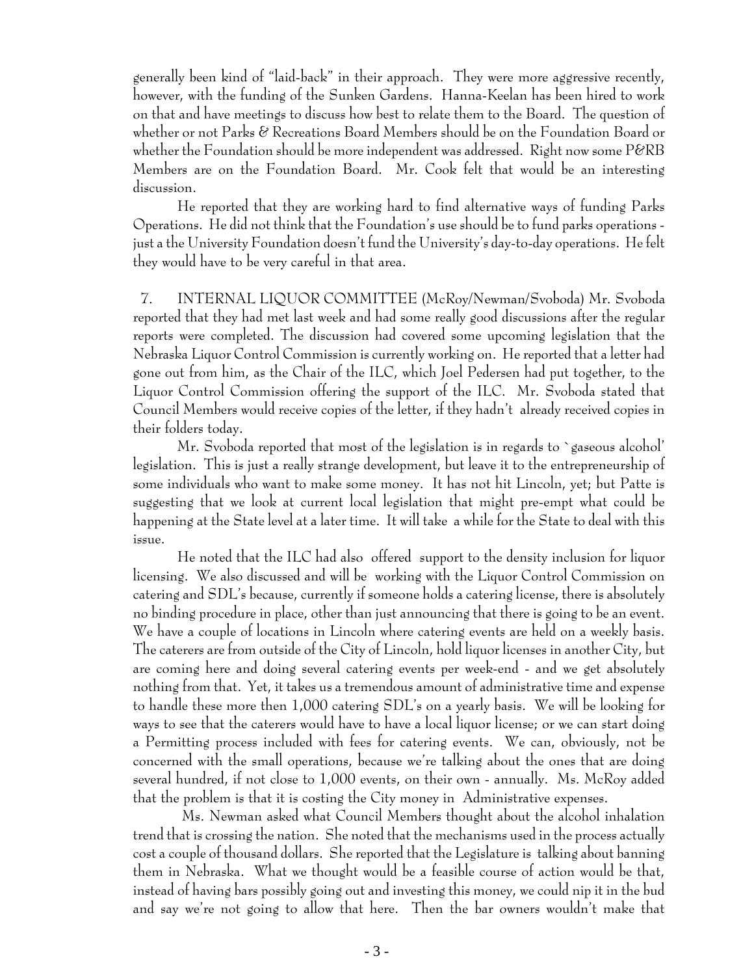generally been kind of "laid-back" in their approach. They were more aggressive recently, however, with the funding of the Sunken Gardens. Hanna-Keelan has been hired to work on that and have meetings to discuss how best to relate them to the Board. The question of whether or not Parks & Recreations Board Members should be on the Foundation Board or whether the Foundation should be more independent was addressed. Right now some  $\rm P\&R\,B$ Members are on the Foundation Board. Mr. Cook felt that would be an interesting discussion.

He reported that they are working hard to find alternative ways of funding Parks Operations. He did not think that the Foundation's use should be to fund parks operations just a the University Foundation doesn't fund the University's day-to-day operations. He felt they would have to be very careful in that area.

 7. INTERNAL LIQUOR COMMITTEE (McRoy/Newman/Svoboda) Mr. Svoboda reported that they had met last week and had some really good discussions after the regular reports were completed. The discussion had covered some upcoming legislation that the Nebraska Liquor Control Commission is currently working on. He reported that a letter had gone out from him, as the Chair of the ILC, which Joel Pedersen had put together, to the Liquor Control Commission offering the support of the ILC. Mr. Svoboda stated that Council Members would receive copies of the letter, if they hadn't already received copies in their folders today.

Mr. Svoboda reported that most of the legislation is in regards to `gaseous alcohol' legislation. This is just a really strange development, but leave it to the entrepreneurship of some individuals who want to make some money. It has not hit Lincoln, yet; but Patte is suggesting that we look at current local legislation that might pre-empt what could be happening at the State level at a later time. It will take a while for the State to deal with this issue.

He noted that the ILC had also offered support to the density inclusion for liquor licensing. We also discussed and will be working with the Liquor Control Commission on catering and SDL's because, currently if someone holds a catering license, there is absolutely no binding procedure in place, other than just announcing that there is going to be an event. We have a couple of locations in Lincoln where catering events are held on a weekly basis. The caterers are from outside of the City of Lincoln, hold liquor licenses in another City, but are coming here and doing several catering events per week-end - and we get absolutely nothing from that. Yet, it takes us a tremendous amount of administrative time and expense to handle these more then 1,000 catering SDL's on a yearly basis. We will be looking for ways to see that the caterers would have to have a local liquor license; or we can start doing a Permitting process included with fees for catering events. We can, obviously, not be concerned with the small operations, because we're talking about the ones that are doing several hundred, if not close to 1,000 events, on their own - annually. Ms. McRoy added that the problem is that it is costing the City money in Administrative expenses.

 Ms. Newman asked what Council Members thought about the alcohol inhalation trend that is crossing the nation. She noted that the mechanisms used in the process actually cost a couple of thousand dollars. She reported that the Legislature is talking about banning them in Nebraska. What we thought would be a feasible course of action would be that, instead of having bars possibly going out and investing this money, we could nip it in the bud and say we're not going to allow that here. Then the bar owners wouldn't make that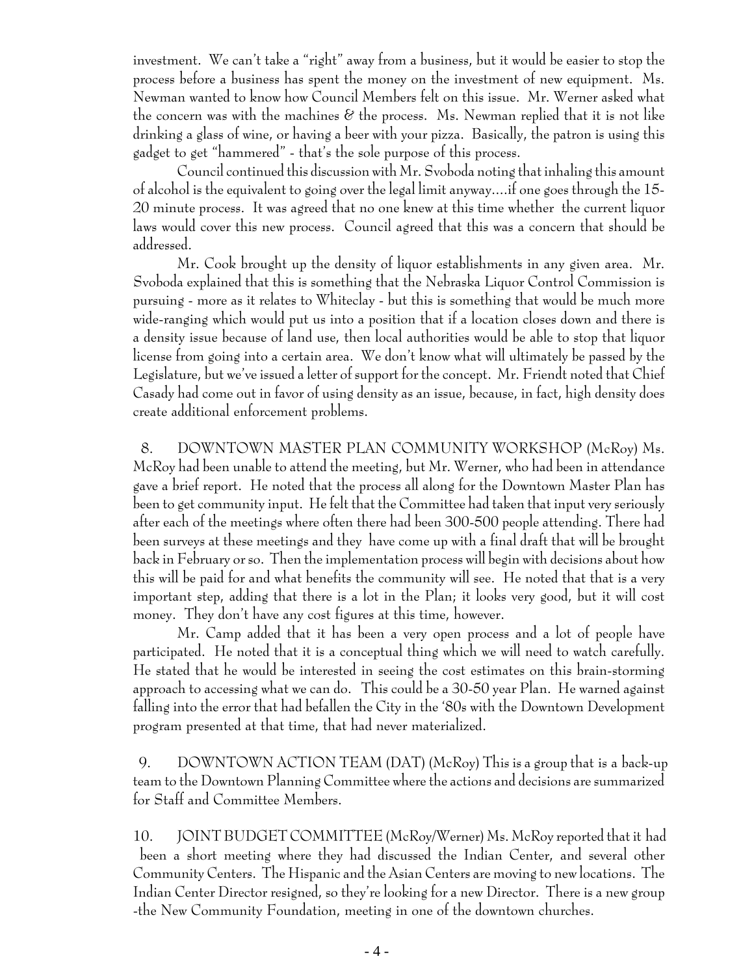investment. We can't take a "right" away from a business, but it would be easier to stop the process before a business has spent the money on the investment of new equipment. Ms. Newman wanted to know how Council Members felt on this issue. Mr. Werner asked what the concern was with the machines  $\mathscr E$  the process. Ms. Newman replied that it is not like drinking a glass of wine, or having a beer with your pizza. Basically, the patron is using this gadget to get "hammered" - that's the sole purpose of this process.

Council continued this discussion with Mr. Svoboda noting that inhaling this amount of alcohol is the equivalent to going over the legal limit anyway....if one goes through the 15- 20 minute process. It was agreed that no one knew at this time whether the current liquor laws would cover this new process. Council agreed that this was a concern that should be addressed.

Mr. Cook brought up the density of liquor establishments in any given area. Mr. Svoboda explained that this is something that the Nebraska Liquor Control Commission is pursuing - more as it relates to Whiteclay - but this is something that would be much more wide-ranging which would put us into a position that if a location closes down and there is a density issue because of land use, then local authorities would be able to stop that liquor license from going into a certain area. We don't know what will ultimately be passed by the Legislature, but we've issued a letter of support for the concept. Mr. Friendt noted that Chief Casady had come out in favor of using density as an issue, because, in fact, high density does create additional enforcement problems.

8. DOWNTOWN MASTER PLAN COMMUNITY WORKSHOP (McRoy) Ms. McRoy had been unable to attend the meeting, but Mr. Werner, who had been in attendance gave a brief report. He noted that the process all along for the Downtown Master Plan has been to get community input. He felt that the Committee had taken that input very seriously after each of the meetings where often there had been 300-500 people attending. There had been surveys at these meetings and they have come up with a final draft that will be brought back in February or so. Then the implementation process will begin with decisions about how this will be paid for and what benefits the community will see. He noted that that is a very important step, adding that there is a lot in the Plan; it looks very good, but it will cost money. They don't have any cost figures at this time, however.

Mr. Camp added that it has been a very open process and a lot of people have participated. He noted that it is a conceptual thing which we will need to watch carefully. He stated that he would be interested in seeing the cost estimates on this brain-storming approach to accessing what we can do. This could be a 30-50 year Plan. He warned against falling into the error that had befallen the City in the '80s with the Downtown Development program presented at that time, that had never materialized.

 9. DOWNTOWN ACTION TEAM (DAT) (McRoy) This is a group that is a back-up team to the Downtown Planning Committee where the actions and decisions are summarized for Staff and Committee Members.

10. JOINT BUDGET COMMITTEE (McRoy/Werner) Ms. McRoy reported that it had been a short meeting where they had discussed the Indian Center, and several other Community Centers. The Hispanic and the Asian Centers are moving to new locations. The Indian Center Director resigned, so they're looking for a new Director. There is a new group -the New Community Foundation, meeting in one of the downtown churches.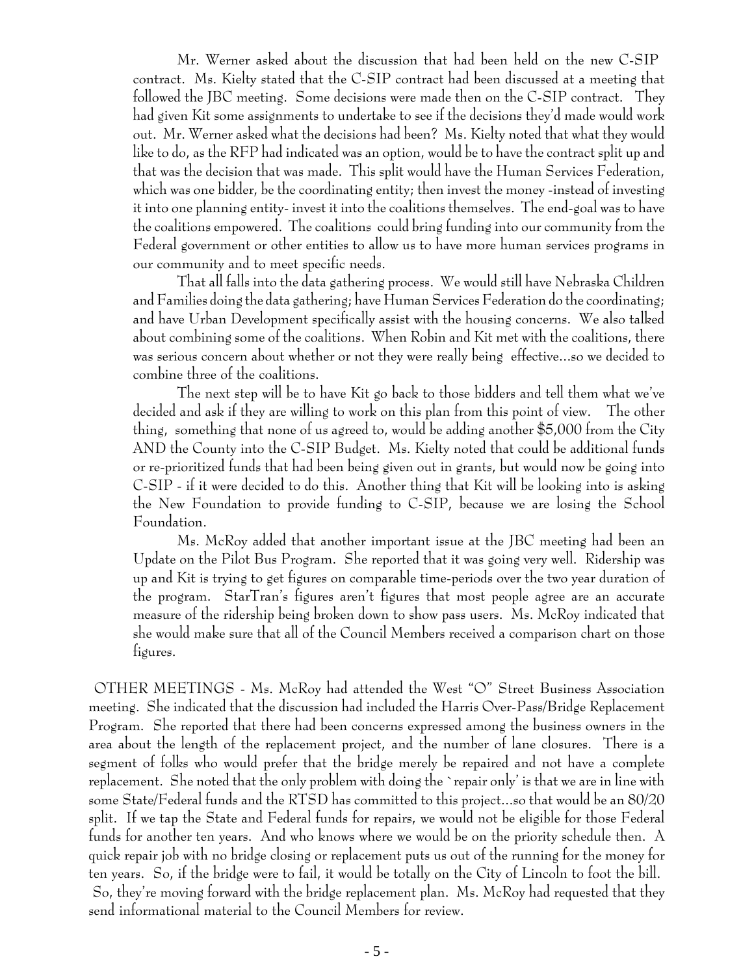Mr. Werner asked about the discussion that had been held on the new C-SIP contract. Ms. Kielty stated that the C-SIP contract had been discussed at a meeting that followed the JBC meeting. Some decisions were made then on the C-SIP contract. They had given Kit some assignments to undertake to see if the decisions they'd made would work out. Mr. Werner asked what the decisions had been? Ms. Kielty noted that what they would like to do, as the RFP had indicated was an option, would be to have the contract split up and that was the decision that was made. This split would have the Human Services Federation, which was one bidder, be the coordinating entity; then invest the money -instead of investing it into one planning entity- invest it into the coalitions themselves. The end-goal was to have the coalitions empowered. The coalitions could bring funding into our community from the Federal government or other entities to allow us to have more human services programs in our community and to meet specific needs.

That all falls into the data gathering process. We would still have Nebraska Children and Families doing the data gathering; have Human Services Federation do the coordinating; and have Urban Development specifically assist with the housing concerns. We also talked about combining some of the coalitions. When Robin and Kit met with the coalitions, there was serious concern about whether or not they were really being effective...so we decided to combine three of the coalitions.

The next step will be to have Kit go back to those bidders and tell them what we've decided and ask if they are willing to work on this plan from this point of view. The other thing, something that none of us agreed to, would be adding another \$5,000 from the City AND the County into the C-SIP Budget. Ms. Kielty noted that could be additional funds or re-prioritized funds that had been being given out in grants, but would now be going into C-SIP - if it were decided to do this. Another thing that Kit will be looking into is asking the New Foundation to provide funding to C-SIP, because we are losing the School Foundation.

Ms. McRoy added that another important issue at the JBC meeting had been an Update on the Pilot Bus Program. She reported that it was going very well. Ridership was up and Kit is trying to get figures on comparable time-periods over the two year duration of the program. StarTran's figures aren't figures that most people agree are an accurate measure of the ridership being broken down to show pass users. Ms. McRoy indicated that she would make sure that all of the Council Members received a comparison chart on those figures.

 OTHER MEETINGS - Ms. McRoy had attended the West "O" Street Business Association meeting. She indicated that the discussion had included the Harris Over-Pass/Bridge Replacement Program. She reported that there had been concerns expressed among the business owners in the area about the length of the replacement project, and the number of lane closures. There is a segment of folks who would prefer that the bridge merely be repaired and not have a complete replacement. She noted that the only problem with doing the `repair only' is that we are in line with some State/Federal funds and the RTSD has committed to this project...so that would be an 80/20 split. If we tap the State and Federal funds for repairs, we would not be eligible for those Federal funds for another ten years. And who knows where we would be on the priority schedule then. A quick repair job with no bridge closing or replacement puts us out of the running for the money for ten years. So, if the bridge were to fail, it would be totally on the City of Lincoln to foot the bill. So, they're moving forward with the bridge replacement plan. Ms. McRoy had requested that they send informational material to the Council Members for review.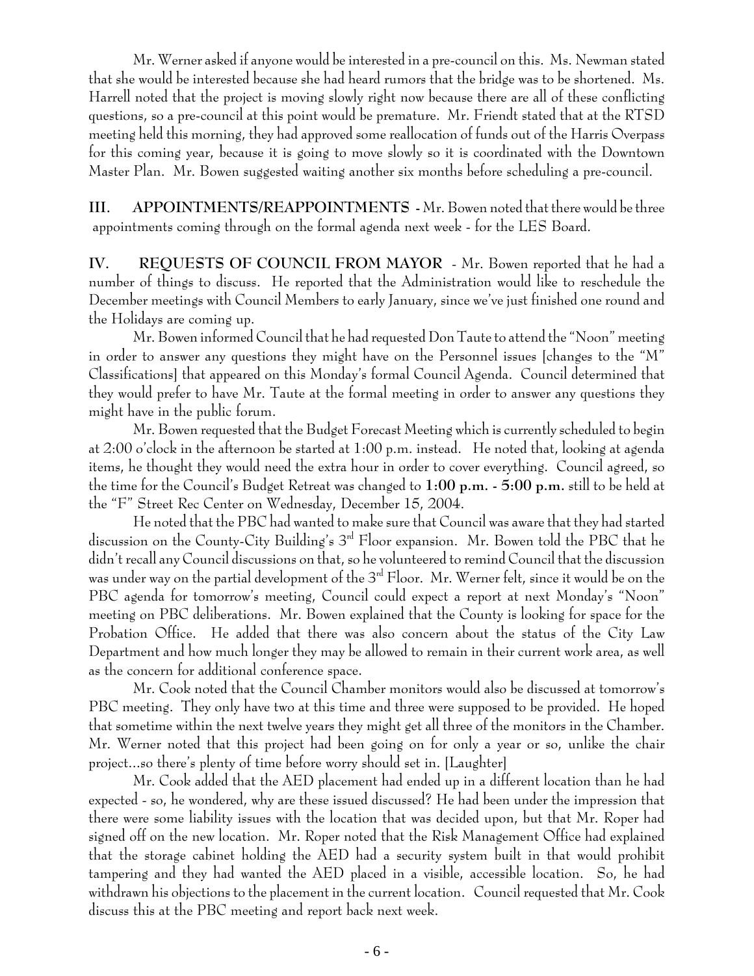Mr. Werner asked if anyone would be interested in a pre-council on this. Ms. Newman stated that she would be interested because she had heard rumors that the bridge was to be shortened. Ms. Harrell noted that the project is moving slowly right now because there are all of these conflicting questions, so a pre-council at this point would be premature. Mr. Friendt stated that at the RTSD meeting held this morning, they had approved some reallocation of funds out of the Harris Overpass for this coming year, because it is going to move slowly so it is coordinated with the Downtown Master Plan. Mr. Bowen suggested waiting another six months before scheduling a pre-council.

**III. APPOINTMENTS/REAPPOINTMENTS -** Mr. Bowen noted that there would be three appointments coming through on the formal agenda next week - for the LES Board.

**IV. REQUESTS OF COUNCIL FROM MAYOR** - Mr. Bowen reported that he had a number of things to discuss. He reported that the Administration would like to reschedule the December meetings with Council Members to early January, since we've just finished one round and the Holidays are coming up.

Mr. Bowen informed Council that he had requested Don Taute to attend the "Noon" meeting in order to answer any questions they might have on the Personnel issues [changes to the "M" Classifications] that appeared on this Monday's formal Council Agenda. Council determined that they would prefer to have Mr. Taute at the formal meeting in order to answer any questions they might have in the public forum.

Mr. Bowen requested that the Budget Forecast Meeting which is currently scheduled to begin at 2:00 o'clock in the afternoon be started at 1:00 p.m. instead. He noted that, looking at agenda items, he thought they would need the extra hour in order to cover everything. Council agreed, so the time for the Council's Budget Retreat was changed to **1:00 p.m. - 5:00 p.m.** still to be held at the "F" Street Rec Center on Wednesday, December 15, 2004.

He noted that the PBC had wanted to make sure that Council was aware that they had started discussion on the County-City Building's 3<sup>rd</sup> Floor expansion. Mr. Bowen told the PBC that he didn't recall any Council discussions on that, so he volunteered to remind Council that the discussion was under way on the partial development of the  $3^{rd}$  Floor. Mr. Werner felt, since it would be on the PBC agenda for tomorrow's meeting, Council could expect a report at next Monday's "Noon" meeting on PBC deliberations. Mr. Bowen explained that the County is looking for space for the Probation Office. He added that there was also concern about the status of the City Law Department and how much longer they may be allowed to remain in their current work area, as well as the concern for additional conference space.

Mr. Cook noted that the Council Chamber monitors would also be discussed at tomorrow's PBC meeting. They only have two at this time and three were supposed to be provided. He hoped that sometime within the next twelve years they might get all three of the monitors in the Chamber. Mr. Werner noted that this project had been going on for only a year or so, unlike the chair project...so there's plenty of time before worry should set in. [Laughter]

Mr. Cook added that the AED placement had ended up in a different location than he had expected - so, he wondered, why are these issued discussed? He had been under the impression that there were some liability issues with the location that was decided upon, but that Mr. Roper had signed off on the new location. Mr. Roper noted that the Risk Management Office had explained that the storage cabinet holding the AED had a security system built in that would prohibit tampering and they had wanted the AED placed in a visible, accessible location. So, he had withdrawn his objections to the placement in the current location. Council requested that Mr. Cook discuss this at the PBC meeting and report back next week.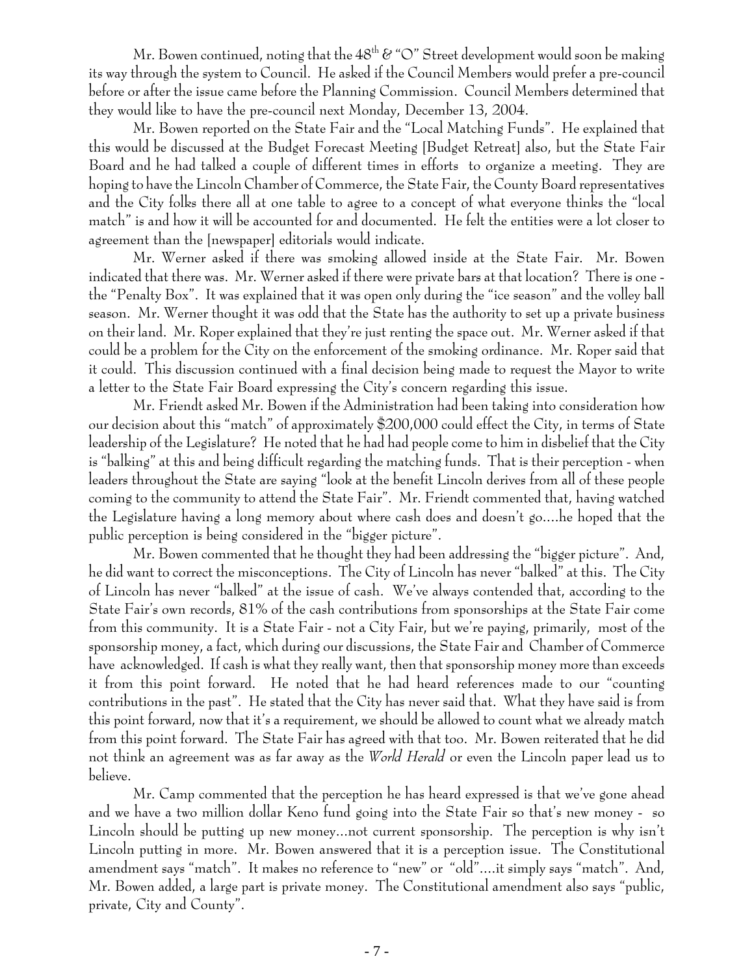Mr. Bowen continued, noting that the  $48^{th}$   $\&$  "O" Street development would soon be making its way through the system to Council. He asked if the Council Members would prefer a pre-council before or after the issue came before the Planning Commission. Council Members determined that they would like to have the pre-council next Monday, December 13, 2004.

Mr. Bowen reported on the State Fair and the "Local Matching Funds". He explained that this would be discussed at the Budget Forecast Meeting [Budget Retreat] also, but the State Fair Board and he had talked a couple of different times in efforts to organize a meeting. They are hoping to have the Lincoln Chamber of Commerce, the State Fair, the County Board representatives and the City folks there all at one table to agree to a concept of what everyone thinks the "local match" is and how it will be accounted for and documented. He felt the entities were a lot closer to agreement than the [newspaper] editorials would indicate.

Mr. Werner asked if there was smoking allowed inside at the State Fair. Mr. Bowen indicated that there was. Mr. Werner asked if there were private bars at that location? There is one the "Penalty Box". It was explained that it was open only during the "ice season" and the volley ball season. Mr. Werner thought it was odd that the State has the authority to set up a private business on their land. Mr. Roper explained that they're just renting the space out. Mr. Werner asked if that could be a problem for the City on the enforcement of the smoking ordinance. Mr. Roper said that it could. This discussion continued with a final decision being made to request the Mayor to write a letter to the State Fair Board expressing the City's concern regarding this issue.

Mr. Friendt asked Mr. Bowen if the Administration had been taking into consideration how our decision about this "match" of approximately \$200,000 could effect the City, in terms of State leadership of the Legislature? He noted that he had had people come to him in disbelief that the City is "balking" at this and being difficult regarding the matching funds. That is their perception - when leaders throughout the State are saying "look at the benefit Lincoln derives from all of these people coming to the community to attend the State Fair". Mr. Friendt commented that, having watched the Legislature having a long memory about where cash does and doesn't go....he hoped that the public perception is being considered in the "bigger picture".

Mr. Bowen commented that he thought they had been addressing the "bigger picture". And, he did want to correct the misconceptions. The City of Lincoln has never "balked" at this. The City of Lincoln has never "balked" at the issue of cash. We've always contended that, according to the State Fair's own records, 81% of the cash contributions from sponsorships at the State Fair come from this community. It is a State Fair - not a City Fair, but we're paying, primarily, most of the sponsorship money, a fact, which during our discussions, the State Fair and Chamber of Commerce have acknowledged. If cash is what they really want, then that sponsorship money more than exceeds it from this point forward. He noted that he had heard references made to our "counting contributions in the past". He stated that the City has never said that. What they have said is from this point forward, now that it's a requirement, we should be allowed to count what we already match from this point forward. The State Fair has agreed with that too. Mr. Bowen reiterated that he did not think an agreement was as far away as the *World Herald* or even the Lincoln paper lead us to believe.

Mr. Camp commented that the perception he has heard expressed is that we've gone ahead and we have a two million dollar Keno fund going into the State Fair so that's new money - so Lincoln should be putting up new money...not current sponsorship. The perception is why isn't Lincoln putting in more. Mr. Bowen answered that it is a perception issue. The Constitutional amendment says "match". It makes no reference to "new" or "old"....it simply says "match". And, Mr. Bowen added, a large part is private money. The Constitutional amendment also says "public, private, City and County".